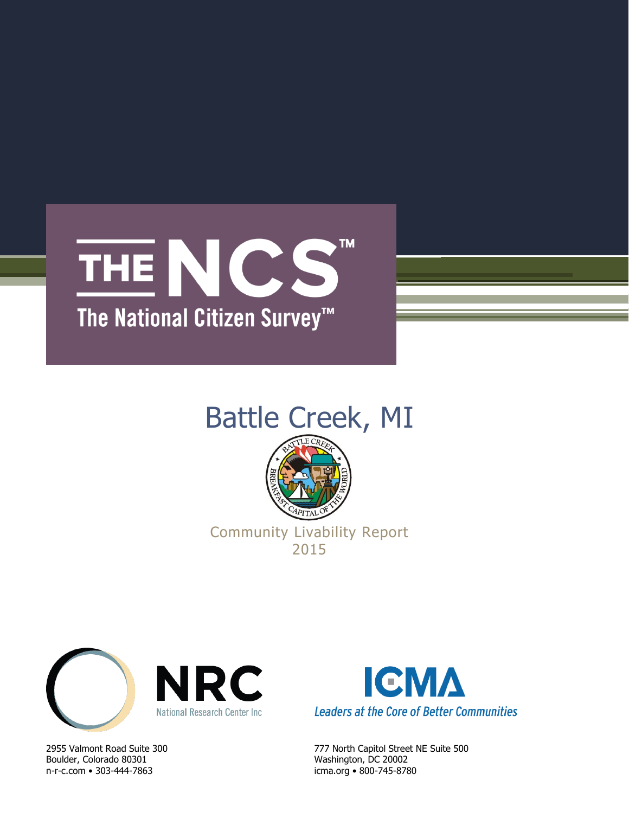# **TM** THE NCS The National Citizen Survey<sup>™</sup>

## Battle Creek, MI



Community Livability Report 2015



Boulder, Colorado 80301 Washington, DC 20002 n-r-c.com • 303-444-7863 icma.org • 800-745-8780



2955 Valmont Road Suite 300 777 North Capitol Street NE Suite 500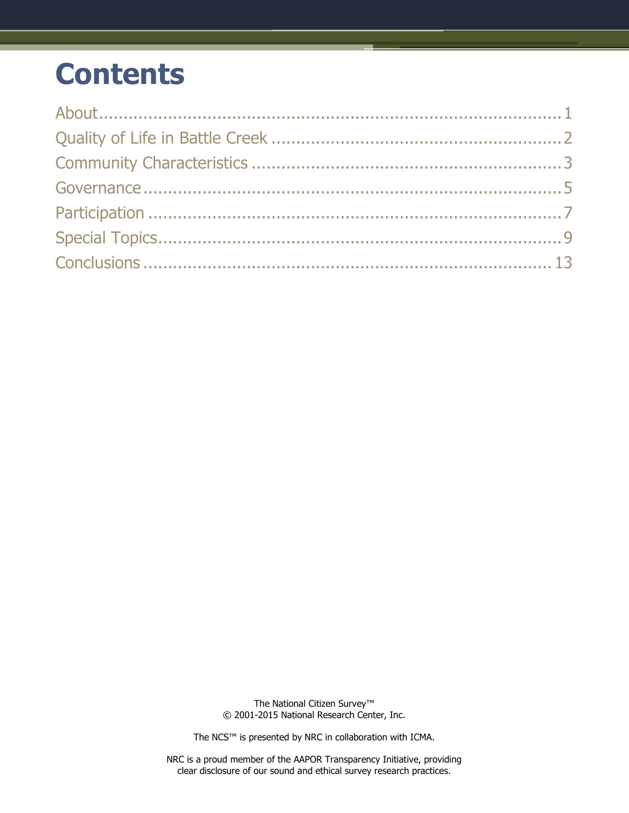## **Contents**

The National Citizen Survey™ © 2001-2015 National Research Center, Inc.

The NCS™ is presented by NRC in collaboration with ICMA.

NRC is a proud member of the AAPOR Transparency Initiative, providing clear disclosure of our sound and ethical survey research practices.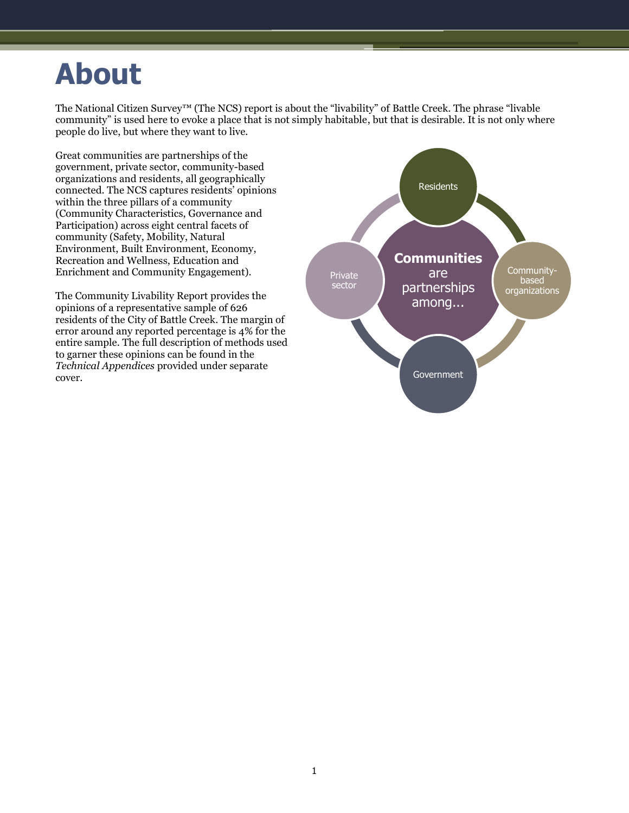## <span id="page-2-0"></span>**About**

The National Citizen Survey™ (The NCS) report is about the "livability" of Battle Creek. The phrase "livable community" is used here to evoke a place that is not simply habitable, but that is desirable. It is not only where people do live, but where they want to live.

Great communities are partnerships of the government, private sector, community-based organizations and residents, all geographically connected. The NCS captures residents' opinions within the three pillars of a community (Community Characteristics, Governance and Participation) across eight central facets of community (Safety, Mobility, Natural Environment, Built Environment, Economy, Recreation and Wellness, Education and Enrichment and Community Engagement).

The Community Livability Report provides the opinions of a representative sample of 626 residents of the City of Battle Creek. The margin of error around any reported percentage is 4% for the entire sample. The full description of methods used to garner these opinions can be found in the *Technical Appendices* provided under separate cover.

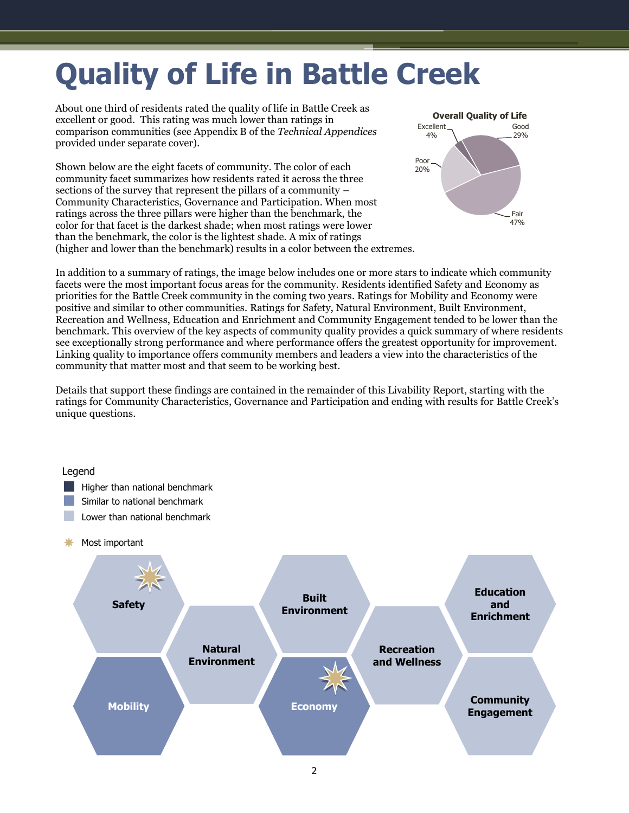# <span id="page-3-0"></span>**Quality of Life in Battle Creek**

About one third of residents rated the quality of life in Battle Creek as excellent or good. This rating was much lower than ratings in comparison communities (see Appendix B of the *Technical Appendices* provided under separate cover).

Shown below are the eight facets of community. The color of each community facet summarizes how residents rated it across the three sections of the survey that represent the pillars of a community – Community Characteristics, Governance and Participation. When most ratings across the three pillars were higher than the benchmark, the color for that facet is the darkest shade; when most ratings were lower than the benchmark, the color is the lightest shade. A mix of ratings (higher and lower than the benchmark) results in a color between the extremes.



In addition to a summary of ratings, the image below includes one or more stars to indicate which community facets were the most important focus areas for the community. Residents identified Safety and Economy as priorities for the Battle Creek community in the coming two years. Ratings for Mobility and Economy were positive and similar to other communities. Ratings for Safety, Natural Environment, Built Environment, Recreation and Wellness, Education and Enrichment and Community Engagement tended to be lower than the benchmark. This overview of the key aspects of community quality provides a quick summary of where residents see exceptionally strong performance and where performance offers the greatest opportunity for improvement. Linking quality to importance offers community members and leaders a view into the characteristics of the community that matter most and that seem to be working best.

Details that support these findings are contained in the remainder of this Livability Report, starting with the ratings for Community Characteristics, Governance and Participation and ending with results for Battle Creek's unique questions.

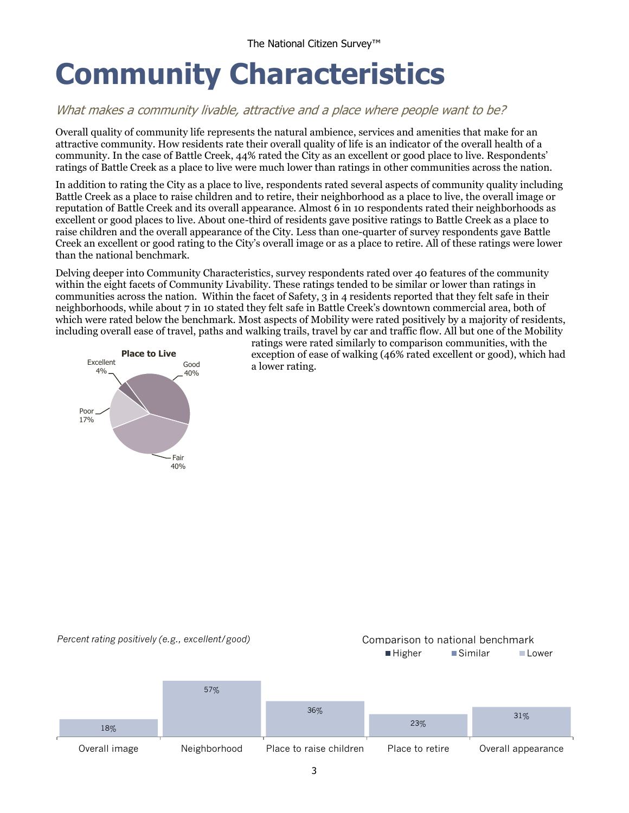## <span id="page-4-0"></span>**Community Characteristics**

### What makes a community livable, attractive and a place where people want to be?

Overall quality of community life represents the natural ambience, services and amenities that make for an attractive community. How residents rate their overall quality of life is an indicator of the overall health of a community. In the case of Battle Creek, 44% rated the City as an excellent or good place to live. Respondents' ratings of Battle Creek as a place to live were much lower than ratings in other communities across the nation.

In addition to rating the City as a place to live, respondents rated several aspects of community quality including Battle Creek as a place to raise children and to retire, their neighborhood as a place to live, the overall image or reputation of Battle Creek and its overall appearance. Almost 6 in 10 respondents rated their neighborhoods as excellent or good places to live. About one-third of residents gave positive ratings to Battle Creek as a place to raise children and the overall appearance of the City. Less than one-quarter of survey respondents gave Battle Creek an excellent or good rating to the City's overall image or as a place to retire. All of these ratings were lower than the national benchmark.

Delving deeper into Community Characteristics, survey respondents rated over 40 features of the community within the eight facets of Community Livability. These ratings tended to be similar or lower than ratings in communities across the nation. Within the facet of Safety, 3 in 4 residents reported that they felt safe in their neighborhoods, while about 7 in 10 stated they felt safe in Battle Creek's downtown commercial area, both of which were rated below the benchmark. Most aspects of Mobility were rated positively by a majority of residents, including overall ease of travel, paths and walking trails, travel by car and traffic flow. All but one of the Mobility



ratings were rated similarly to comparison communities, with the exception of ease of walking (46% rated excellent or good), which had a lower rating.

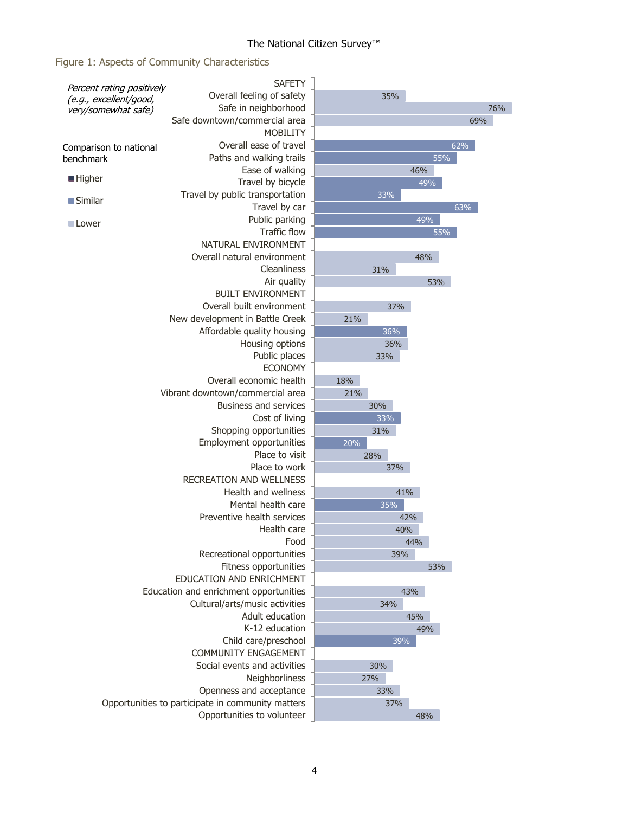## Figure 1: Aspects of Community Characteristics

|                                                     | <b>SAFETY</b>                                     |     |     |     |     |     |  |
|-----------------------------------------------------|---------------------------------------------------|-----|-----|-----|-----|-----|--|
| Percent rating positively<br>(e.g., excellent/good, | Overall feeling of safety                         |     | 35% |     |     |     |  |
| very/somewhat safe)                                 | Safe in neighborhood                              |     |     |     |     | 76% |  |
|                                                     | Safe downtown/commercial area                     |     |     |     | 69% |     |  |
|                                                     | <b>MOBILITY</b>                                   |     |     |     |     |     |  |
| Comparison to national                              | Overall ease of travel                            |     |     |     | 62% |     |  |
| benchmark                                           | Paths and walking trails                          |     |     | 55% |     |     |  |
|                                                     | Ease of walking                                   |     |     | 46% |     |     |  |
| <b>Higher</b>                                       | Travel by bicycle                                 |     |     | 49% |     |     |  |
| <b>Similar</b>                                      | Travel by public transportation                   |     | 33% |     |     |     |  |
|                                                     | Travel by car                                     |     |     |     | 63% |     |  |
| Lower                                               | Public parking                                    |     |     | 49% |     |     |  |
|                                                     | <b>Traffic flow</b>                               |     |     | 55% |     |     |  |
|                                                     | NATURAL ENVIRONMENT                               |     |     |     |     |     |  |
|                                                     | Overall natural environment                       |     |     | 48% |     |     |  |
|                                                     | Cleanliness                                       |     | 31% |     |     |     |  |
|                                                     | Air quality                                       |     |     | 53% |     |     |  |
|                                                     | <b>BUILT ENVIRONMENT</b>                          |     |     |     |     |     |  |
|                                                     | Overall built environment                         |     | 37% |     |     |     |  |
|                                                     | New development in Battle Creek                   | 21% |     |     |     |     |  |
|                                                     | Affordable quality housing                        |     | 36% |     |     |     |  |
|                                                     | Housing options<br>Public places                  |     | 36% |     |     |     |  |
|                                                     | <b>ECONOMY</b>                                    |     | 33% |     |     |     |  |
|                                                     | Overall economic health                           | 18% |     |     |     |     |  |
|                                                     | Vibrant downtown/commercial area                  | 21% |     |     |     |     |  |
|                                                     | Business and services                             |     | 30% |     |     |     |  |
|                                                     | Cost of living                                    |     | 33% |     |     |     |  |
|                                                     | Shopping opportunities                            |     | 31% |     |     |     |  |
|                                                     | Employment opportunities                          | 20% |     |     |     |     |  |
|                                                     | Place to visit                                    | 28% |     |     |     |     |  |
|                                                     | Place to work                                     |     | 37% |     |     |     |  |
|                                                     | <b>RECREATION AND WELLNESS</b>                    |     |     |     |     |     |  |
|                                                     | Health and wellness                               |     | 41% |     |     |     |  |
|                                                     | Mental health care                                |     | 35% |     |     |     |  |
|                                                     | Preventive health services                        |     | 42% |     |     |     |  |
|                                                     | Health care                                       |     | 40% |     |     |     |  |
|                                                     | Food                                              |     |     | 44% |     |     |  |
|                                                     | Recreational opportunities                        |     | 39% |     |     |     |  |
|                                                     | Fitness opportunities                             |     |     | 53% |     |     |  |
|                                                     | EDUCATION AND ENRICHMENT                          |     |     |     |     |     |  |
|                                                     | Education and enrichment opportunities            |     | 43% |     |     |     |  |
|                                                     | Cultural/arts/music activities                    |     | 34% |     |     |     |  |
|                                                     | Adult education                                   |     |     | 45% |     |     |  |
|                                                     | K-12 education                                    | 49% |     |     |     |     |  |
|                                                     | Child care/preschool                              |     | 39% |     |     |     |  |
|                                                     | <b>COMMUNITY ENGAGEMENT</b>                       |     |     |     |     |     |  |
|                                                     | Social events and activities                      |     | 30% |     |     |     |  |
|                                                     | Neighborliness                                    | 27% |     |     |     |     |  |
| Openness and acceptance                             |                                                   |     | 33% |     |     |     |  |
|                                                     | Opportunities to participate in community matters |     | 37% |     |     |     |  |
|                                                     | Opportunities to volunteer                        |     |     | 48% |     |     |  |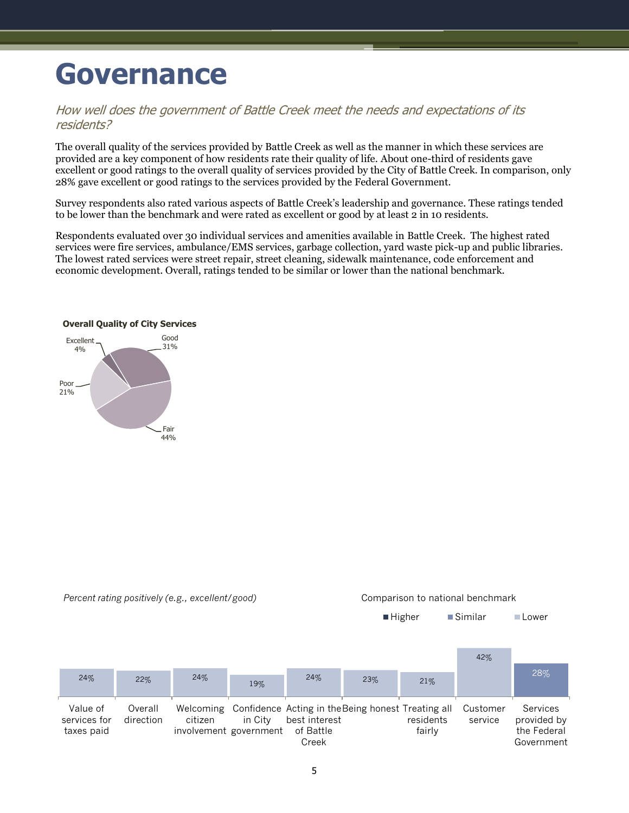## <span id="page-6-0"></span>**Governance**

#### How well does the government of Battle Creek meet the needs and expectations of its residents?

The overall quality of the services provided by Battle Creek as well as the manner in which these services are provided are a key component of how residents rate their quality of life. About one-third of residents gave excellent or good ratings to the overall quality of services provided by the City of Battle Creek. In comparison, only 28% gave excellent or good ratings to the services provided by the Federal Government.

Survey respondents also rated various aspects of Battle Creek's leadership and governance. These ratings tended to be lower than the benchmark and were rated as excellent or good by at least 2 in 10 residents.

Respondents evaluated over 30 individual services and amenities available in Battle Creek. The highest rated services were fire services, ambulance/EMS services, garbage collection, yard waste pick-up and public libraries. The lowest rated services were street repair, street cleaning, sidewalk maintenance, code enforcement and economic development. Overall, ratings tended to be similar or lower than the national benchmark.



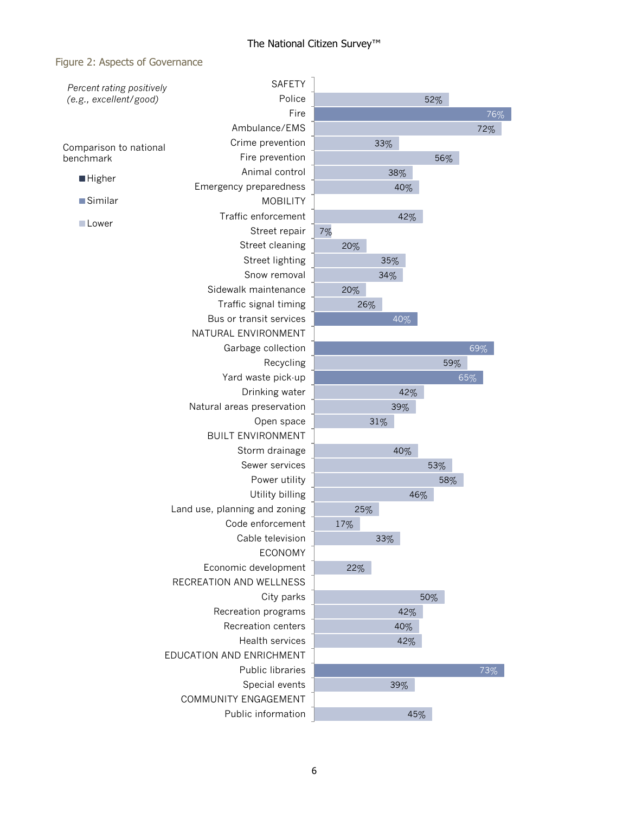### Figure 2: Aspects of Governance

| Percent rating positively | <b>SAFETY</b>                             |     |     |     |     |     |
|---------------------------|-------------------------------------------|-----|-----|-----|-----|-----|
| (e.g., excellent/good)    | Police                                    |     |     | 52% |     |     |
|                           | Fire                                      |     |     |     |     | 76% |
|                           | Ambulance/EMS                             |     |     |     |     | 72% |
| Comparison to national    | Crime prevention                          |     | 33% |     |     |     |
| benchmark                 | Fire prevention                           |     |     | 56% |     |     |
| <b>Higher</b>             | Animal control                            |     | 38% |     |     |     |
|                           | Emergency preparedness                    |     | 40% |     |     |     |
| Similar                   | <b>MOBILITY</b>                           |     |     |     |     |     |
| Lower                     | Traffic enforcement                       |     | 42% |     |     |     |
|                           | Street repair                             | 7%  |     |     |     |     |
|                           | Street cleaning                           | 20% |     |     |     |     |
|                           | Street lighting                           |     | 35% |     |     |     |
|                           | Snow removal                              |     | 34% |     |     |     |
|                           | Sidewalk maintenance                      | 20% |     |     |     |     |
|                           | Traffic signal timing                     |     | 26% |     |     |     |
|                           | Bus or transit services                   |     | 40% |     |     |     |
|                           | NATURAL ENVIRONMENT                       |     |     |     |     |     |
|                           | Garbage collection                        |     |     |     | 69% |     |
|                           | Recycling                                 |     |     |     | 59% |     |
|                           | Yard waste pick-up                        |     |     |     | 65% |     |
|                           | Drinking water                            |     | 42% |     |     |     |
|                           | Natural areas preservation                |     | 39% |     |     |     |
|                           | Open space                                |     | 31% |     |     |     |
|                           | <b>BUILT ENVIRONMENT</b>                  |     |     |     |     |     |
|                           | Storm drainage                            |     | 40% |     |     |     |
|                           | Sewer services                            |     |     | 53% |     |     |
|                           | Power utility                             |     |     | 58% |     |     |
|                           | Utility billing                           |     |     | 46% |     |     |
|                           | Land use, planning and zoning             | 25% |     |     |     |     |
|                           | Code enforcement                          | 17% |     |     |     |     |
|                           | Cable television                          |     | 33% |     |     |     |
|                           | <b>ECONOMY</b>                            |     |     |     |     |     |
|                           | Economic development                      | 22% |     |     |     |     |
|                           | RECREATION AND WELLNESS                   |     |     |     |     |     |
|                           | City parks                                |     |     | 50% |     |     |
|                           | Recreation programs<br>Recreation centers |     | 42% |     |     |     |
|                           | Health services                           |     | 40% |     |     |     |
|                           | EDUCATION AND ENRICHMENT                  |     | 42% |     |     |     |
|                           | Public libraries                          |     |     |     |     | 73% |
|                           | Special events                            |     | 39% |     |     |     |
|                           | COMMUNITY ENGAGEMENT                      |     |     |     |     |     |
|                           | Public information                        |     |     |     |     |     |
|                           |                                           |     |     | 45% |     |     |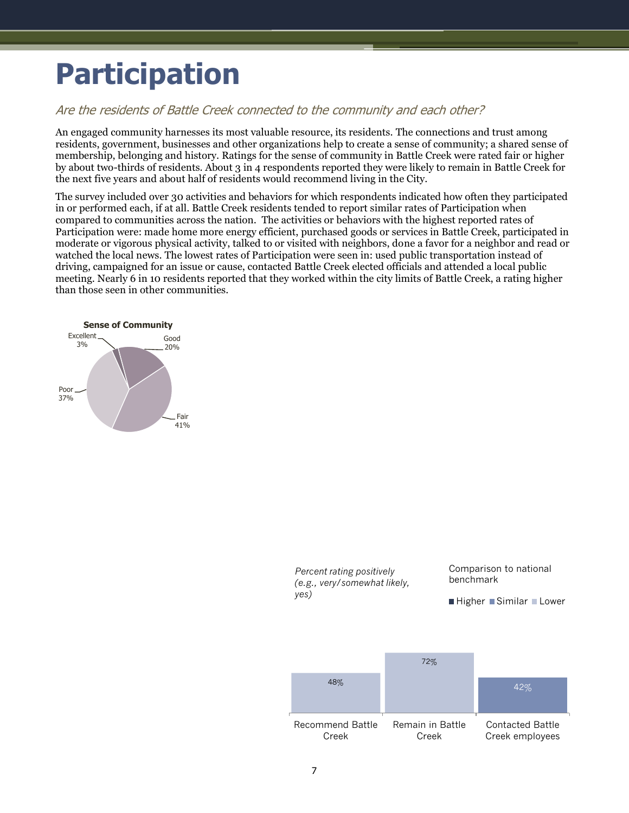## <span id="page-8-0"></span>**Participation**

## Are the residents of Battle Creek connected to the community and each other?

An engaged community harnesses its most valuable resource, its residents. The connections and trust among residents, government, businesses and other organizations help to create a sense of community; a shared sense of membership, belonging and history. Ratings for the sense of community in Battle Creek were rated fair or higher by about two-thirds of residents. About 3 in 4 respondents reported they were likely to remain in Battle Creek for the next five years and about half of residents would recommend living in the City.

The survey included over 30 activities and behaviors for which respondents indicated how often they participated in or performed each, if at all. Battle Creek residents tended to report similar rates of Participation when compared to communities across the nation. The activities or behaviors with the highest reported rates of Participation were: made home more energy efficient, purchased goods or services in Battle Creek, participated in moderate or vigorous physical activity, talked to or visited with neighbors, done a favor for a neighbor and read or watched the local news. The lowest rates of Participation were seen in: used public transportation instead of driving, campaigned for an issue or cause, contacted Battle Creek elected officials and attended a local public meeting. Nearly 6 in 10 residents reported that they worked within the city limits of Battle Creek, a rating higher than those seen in other communities.



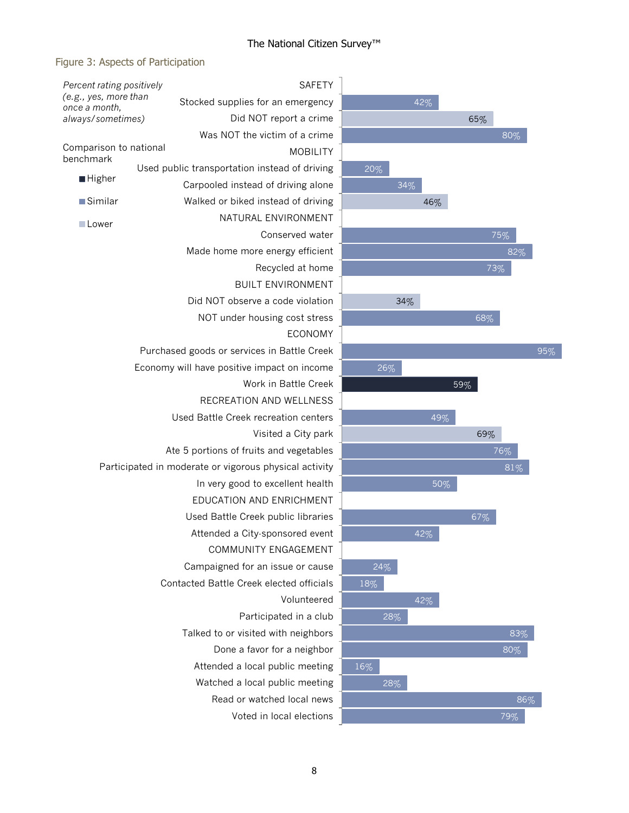### Figure 3: Aspects of Participation

| Percent rating positively<br>(e.g., yes, more than<br>once a month,<br>always/sometimes) |  | <b>SAFETY</b>                                          |  |
|------------------------------------------------------------------------------------------|--|--------------------------------------------------------|--|
|                                                                                          |  | Stocked supplies for an emergency                      |  |
|                                                                                          |  | Did NOT report a crime                                 |  |
|                                                                                          |  | Was NOT the victim of a crime                          |  |
| Comparison to national                                                                   |  | <b>MOBILITY</b>                                        |  |
| benchmark                                                                                |  | Used public transportation instead of driving          |  |
| ■ Higher                                                                                 |  | Carpooled instead of driving alone                     |  |
| ■Similar                                                                                 |  | Walked or biked instead of driving                     |  |
| □Lower                                                                                   |  | NATURAL ENVIRONMENT                                    |  |
|                                                                                          |  | Conserved water                                        |  |
|                                                                                          |  | Made home more energy efficient                        |  |
|                                                                                          |  | Recycled at home                                       |  |
|                                                                                          |  | <b>BUILT ENVIRONMENT</b>                               |  |
|                                                                                          |  | Did NOT observe a code violation                       |  |
|                                                                                          |  | NOT under housing cost stress                          |  |
|                                                                                          |  | <b>ECONOMY</b>                                         |  |
|                                                                                          |  | Purchased goods or services in Battle Creek            |  |
|                                                                                          |  | Economy will have positive impact on income            |  |
|                                                                                          |  | Work in Battle Creek                                   |  |
|                                                                                          |  | RECREATION AND WELLNESS                                |  |
|                                                                                          |  | Used Battle Creek recreation centers                   |  |
|                                                                                          |  | Visited a City park                                    |  |
|                                                                                          |  | Ate 5 portions of fruits and vegetables                |  |
|                                                                                          |  | Participated in moderate or vigorous physical activity |  |
|                                                                                          |  | In very good to excellent health                       |  |
|                                                                                          |  | EDUCATION AND ENRICHMENT                               |  |
|                                                                                          |  | Used Battle Creek public libraries                     |  |
|                                                                                          |  | Attended a City-sponsored event                        |  |
|                                                                                          |  | COMMUNITY ENGAGEMENT                                   |  |
|                                                                                          |  | Campaigned for an issue or cause                       |  |
|                                                                                          |  | Contacted Battle Creek elected officials               |  |
|                                                                                          |  | Volunteered                                            |  |
|                                                                                          |  | Participated in a club                                 |  |
|                                                                                          |  | Talked to or visited with neighbors                    |  |
|                                                                                          |  | Done a favor for a neighbor                            |  |
|                                                                                          |  | Attended a local public meeting                        |  |
|                                                                                          |  | Watched a local public meeting                         |  |
|                                                                                          |  | Read or watched local news                             |  |
|                                                                                          |  | Voted in local elections                               |  |

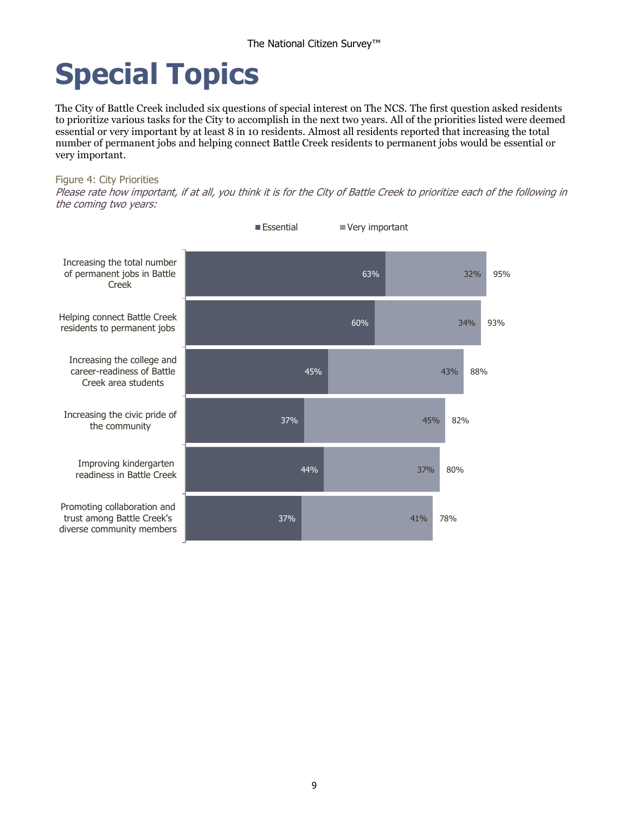# <span id="page-10-0"></span>**Special Topics**

The City of Battle Creek included six questions of special interest on The NCS. The first question asked residents to prioritize various tasks for the City to accomplish in the next two years. All of the priorities listed were deemed essential or very important by at least 8 in 10 residents. Almost all residents reported that increasing the total number of permanent jobs and helping connect Battle Creek residents to permanent jobs would be essential or very important.

#### Figure 4: City Priorities

Please rate how important, if at all, you think it is for the City of Battle Creek to prioritize each of the following in the coming two years:

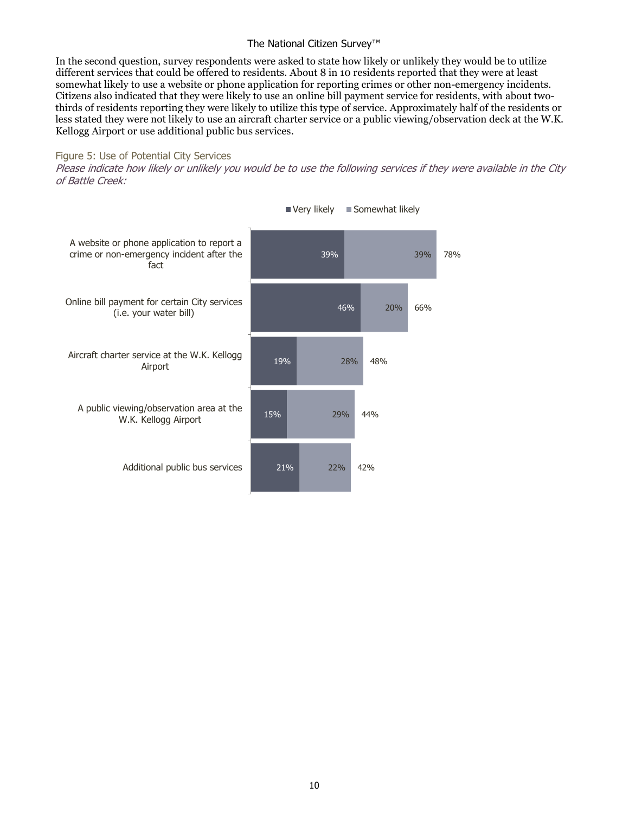In the second question, survey respondents were asked to state how likely or unlikely they would be to utilize different services that could be offered to residents. About 8 in 10 residents reported that they were at least somewhat likely to use a website or phone application for reporting crimes or other non-emergency incidents. Citizens also indicated that they were likely to use an online bill payment service for residents, with about twothirds of residents reporting they were likely to utilize this type of service. Approximately half of the residents or less stated they were not likely to use an aircraft charter service or a public viewing/observation deck at the W.K. Kellogg Airport or use additional public bus services.

#### Figure 5: Use of Potential City Services

Please indicate how likely or unlikely you would be to use the following services if they were available in the City of Battle Creek:



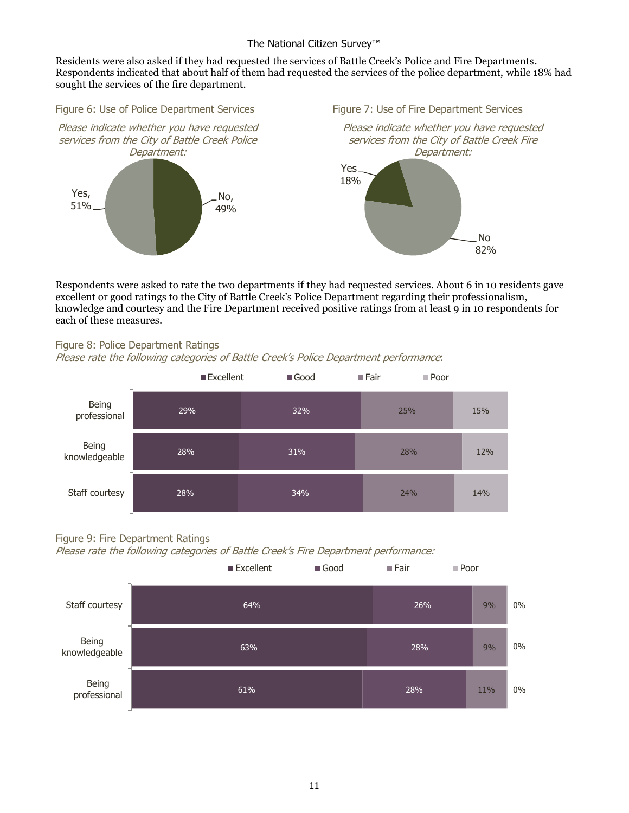Residents were also asked if they had requested the services of Battle Creek's Police and Fire Departments. Respondents indicated that about half of them had requested the services of the police department, while 18% had sought the services of the fire department.

Figure 6: Use of Police Department Services Figure 7: Use of Fire Department Services



Respondents were asked to rate the two departments if they had requested services. About 6 in 10 residents gave excellent or good ratings to the City of Battle Creek's Police Department regarding their professionalism, knowledge and courtesy and the Fire Department received positive ratings from at least 9 in 10 respondents for each of these measures.

#### Figure 8: Police Department Ratings

Please rate the following categories of Battle Creek's Police Department performance:



#### Figure 9: Fire Department Ratings

Please rate the following categories of Battle Creek's Fire Department performance:

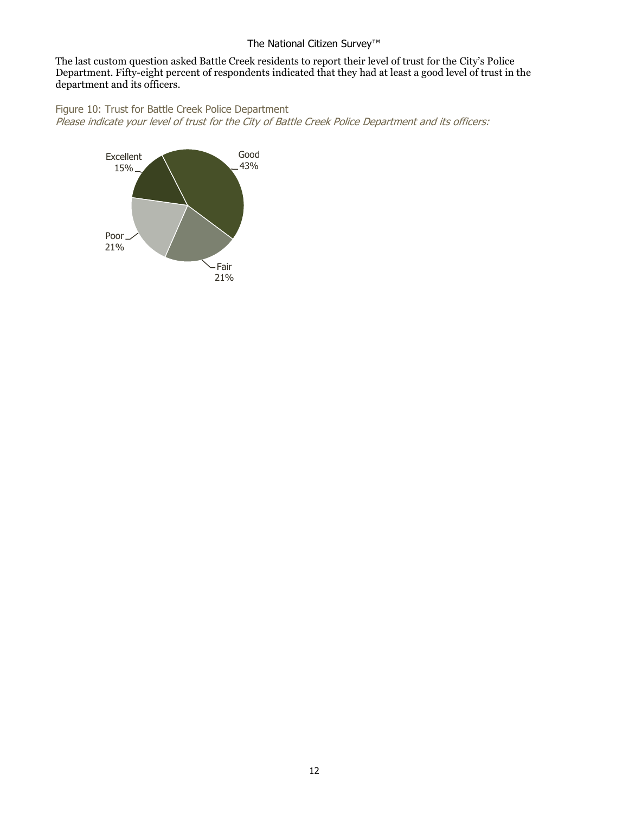The last custom question asked Battle Creek residents to report their level of trust for the City's Police Department. Fifty-eight percent of respondents indicated that they had at least a good level of trust in the department and its officers.

Figure 10: Trust for Battle Creek Police Department Please indicate your level of trust for the City of Battle Creek Police Department and its officers: